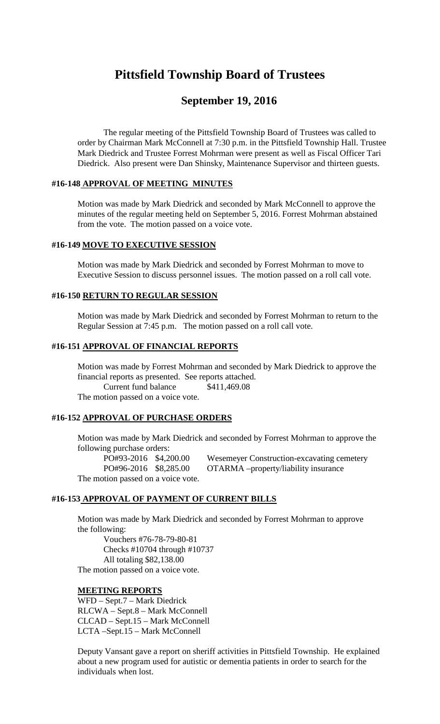## **Pittsfield Township Board of Trustees**

### **September 19, 2016**

The regular meeting of the Pittsfield Township Board of Trustees was called to order by Chairman Mark McConnell at 7:30 p.m. in the Pittsfield Township Hall. Trustee Mark Diedrick and Trustee Forrest Mohrman were present as well as Fiscal Officer Tari Diedrick. Also present were Dan Shinsky, Maintenance Supervisor and thirteen guests.

#### **#16-148 APPROVAL OF MEETING MINUTES**

Motion was made by Mark Diedrick and seconded by Mark McConnell to approve the minutes of the regular meeting held on September 5, 2016. Forrest Mohrman abstained from the vote. The motion passed on a voice vote.

#### **#16-149 MOVE TO EXECUTIVE SESSION**

Motion was made by Mark Diedrick and seconded by Forrest Mohrman to move to Executive Session to discuss personnel issues. The motion passed on a roll call vote.

#### **#16-150 RETURN TO REGULAR SESSION**

Motion was made by Mark Diedrick and seconded by Forrest Mohrman to return to the Regular Session at 7:45 p.m. The motion passed on a roll call vote.

#### **#16-151 APPROVAL OF FINANCIAL REPORTS**

Motion was made by Forrest Mohrman and seconded by Mark Diedrick to approve the financial reports as presented. See reports attached. Current fund balance \$411,469.08 The motion passed on a voice vote.

# **#16-152 APPROVAL OF PURCHASE ORDERS**

Motion was made by Mark Diedrick and seconded by Forrest Mohrman to approve the following purchase orders:

PO#93-2016 \$4,200.00 Wesemeyer Construction-excavating cemetery PO#96-2016 \$8,285.00 OTARMA –property/liability insurance The motion passed on a voice vote.

#### **#16-153 APPROVAL OF PAYMENT OF CURRENT BILLS**

Motion was made by Mark Diedrick and seconded by Forrest Mohrman to approve the following:

Vouchers #76-78-79-80-81 Checks #10704 through #10737 All totaling \$82,138.00 The motion passed on a voice vote.

#### **MEETING REPORTS**

WFD – Sept.7 – Mark Diedrick RLCWA – Sept.8 – Mark McConnell CLCAD – Sept.15 – Mark McConnell LCTA –Sept.15 – Mark McConnell

Deputy Vansant gave a report on sheriff activities in Pittsfield Township. He explained about a new program used for autistic or dementia patients in order to search for the individuals when lost.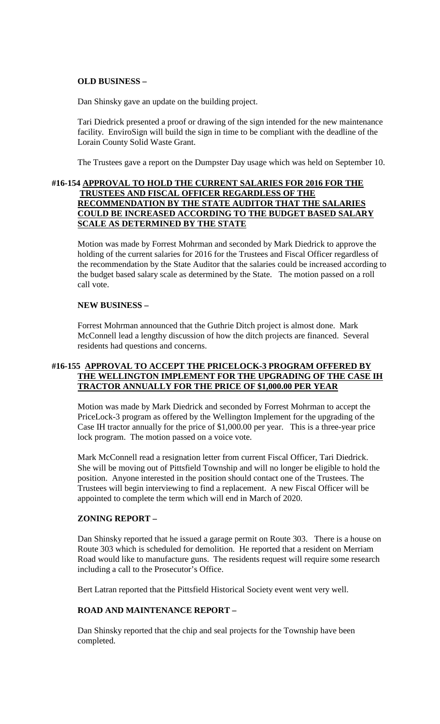#### **OLD BUSINESS –**

Dan Shinsky gave an update on the building project.

Tari Diedrick presented a proof or drawing of the sign intended for the new maintenance facility. EnviroSign will build the sign in time to be compliant with the deadline of the Lorain County Solid Waste Grant.

The Trustees gave a report on the Dumpster Day usage which was held on September 10.

#### **#16-154 APPROVAL TO HOLD THE CURRENT SALARIES FOR 2016 FOR THE TRUSTEES AND FISCAL OFFICER REGARDLESS OF THE RECOMMENDATION BY THE STATE AUDITOR THAT THE SALARIES COULD BE INCREASED ACCORDING TO THE BUDGET BASED SALARY SCALE AS DETERMINED BY THE STATE**

Motion was made by Forrest Mohrman and seconded by Mark Diedrick to approve the holding of the current salaries for 2016 for the Trustees and Fiscal Officer regardless of the recommendation by the State Auditor that the salaries could be increased according to the budget based salary scale as determined by the State. The motion passed on a roll call vote.

#### **NEW BUSINESS –**

Forrest Mohrman announced that the Guthrie Ditch project is almost done. Mark McConnell lead a lengthy discussion of how the ditch projects are financed. Several residents had questions and concerns.

#### **#16-155 APPROVAL TO ACCEPT THE PRICELOCK-3 PROGRAM OFFERED BY THE WELLINGTON IMPLEMENT FOR THE UPGRADING OF THE CASE IH TRACTOR ANNUALLY FOR THE PRICE OF \$1,000.00 PER YEAR**

Motion was made by Mark Diedrick and seconded by Forrest Mohrman to accept the PriceLock-3 program as offered by the Wellington Implement for the upgrading of the Case IH tractor annually for the price of \$1,000.00 per year. This is a three-year price lock program. The motion passed on a voice vote.

Mark McConnell read a resignation letter from current Fiscal Officer, Tari Diedrick. She will be moving out of Pittsfield Township and will no longer be eligible to hold the position. Anyone interested in the position should contact one of the Trustees. The Trustees will begin interviewing to find a replacement. A new Fiscal Officer will be appointed to complete the term which will end in March of 2020.

#### **ZONING REPORT –**

Dan Shinsky reported that he issued a garage permit on Route 303. There is a house on Route 303 which is scheduled for demolition. He reported that a resident on Merriam Road would like to manufacture guns. The residents request will require some research including a call to the Prosecutor's Office.

Bert Latran reported that the Pittsfield Historical Society event went very well.

#### **ROAD AND MAINTENANCE REPORT –**

Dan Shinsky reported that the chip and seal projects for the Township have been completed.